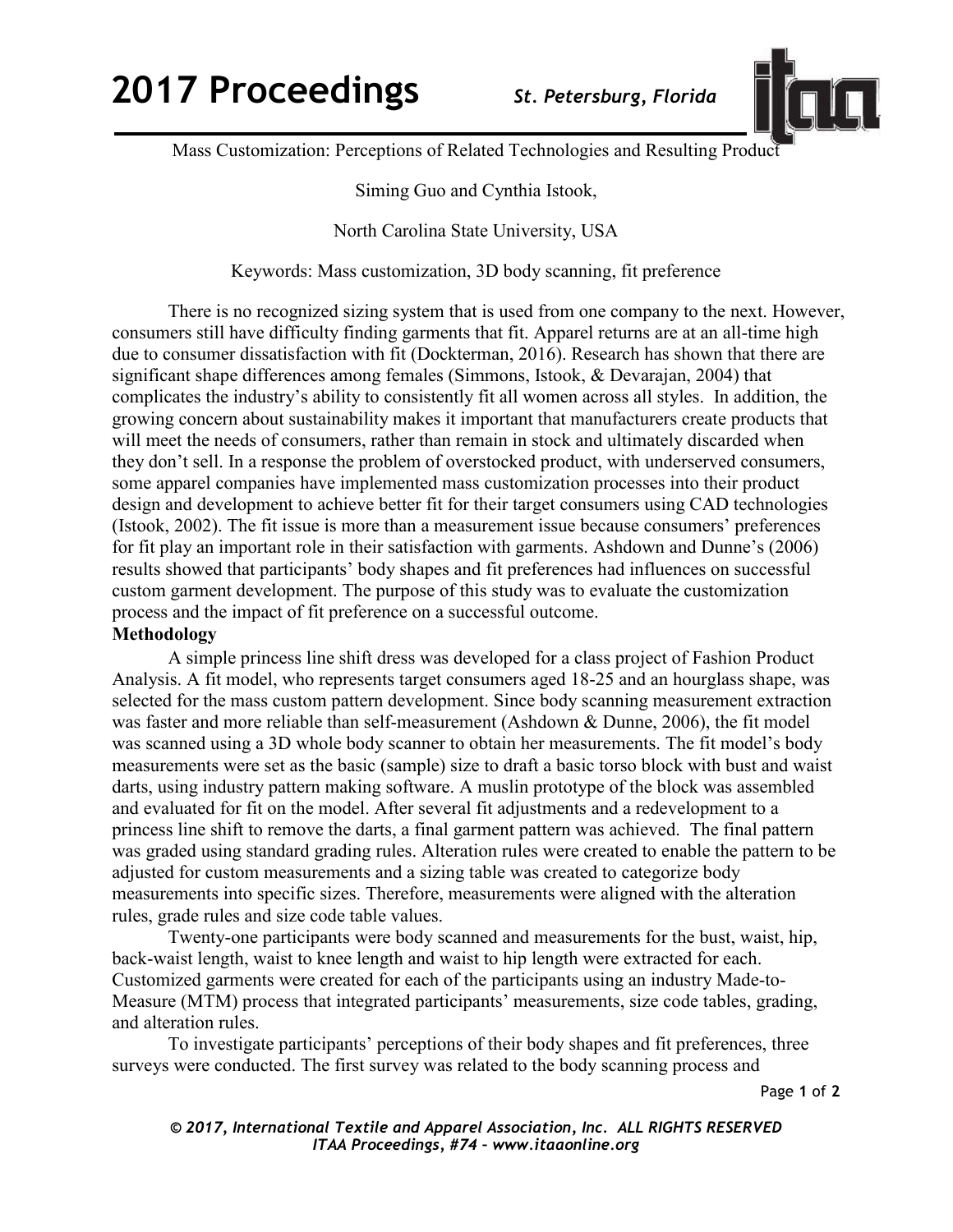## **2017 Proceedings** *St. Petersburg, Florida*



Mass Customization: Perceptions of Related Technologies and Resulting Product

Siming Guo and Cynthia Istook,

North Carolina State University, USA

Keywords: Mass customization, 3D body scanning, fit preference

There is no recognized sizing system that is used from one company to the next. However, consumers still have difficulty finding garments that fit. Apparel returns are at an all-time high due to consumer dissatisfaction with fit (Dockterman, 2016). Research has shown that there are significant shape differences among females (Simmons, Istook, & Devarajan, 2004) that complicates the industry's ability to consistently fit all women across all styles. In addition, the growing concern about sustainability makes it important that manufacturers create products that will meet the needs of consumers, rather than remain in stock and ultimately discarded when they don't sell. In a response the problem of overstocked product, with underserved consumers, some apparel companies have implemented mass customization processes into their product design and development to achieve better fit for their target consumers using CAD technologies (Istook, 2002). The fit issue is more than a measurement issue because consumers' preferences for fit play an important role in their satisfaction with garments. Ashdown and Dunne's (2006) results showed that participants' body shapes and fit preferences had influences on successful custom garment development. The purpose of this study was to evaluate the customization process and the impact of fit preference on a successful outcome.

## **Methodology**

A simple princess line shift dress was developed for a class project of Fashion Product Analysis. A fit model, who represents target consumers aged 18-25 and an hourglass shape, was selected for the mass custom pattern development. Since body scanning measurement extraction was faster and more reliable than self-measurement (Ashdown & Dunne, 2006), the fit model was scanned using a 3D whole body scanner to obtain her measurements. The fit model's body measurements were set as the basic (sample) size to draft a basic torso block with bust and waist darts, using industry pattern making software. A muslin prototype of the block was assembled and evaluated for fit on the model. After several fit adjustments and a redevelopment to a princess line shift to remove the darts, a final garment pattern was achieved. The final pattern was graded using standard grading rules. Alteration rules were created to enable the pattern to be adjusted for custom measurements and a sizing table was created to categorize body measurements into specific sizes. Therefore, measurements were aligned with the alteration rules, grade rules and size code table values.

Twenty-one participants were body scanned and measurements for the bust, waist, hip, back-waist length, waist to knee length and waist to hip length were extracted for each. Customized garments were created for each of the participants using an industry Made-to-Measure (MTM) process that integrated participants' measurements, size code tables, grading, and alteration rules.

To investigate participants' perceptions of their body shapes and fit preferences, three surveys were conducted. The first survey was related to the body scanning process and

Page **1** of **2** 

*© 2017, International Textile and Apparel Association, Inc. ALL RIGHTS RESERVED ITAA Proceedings, #74 – www.itaaonline.org*